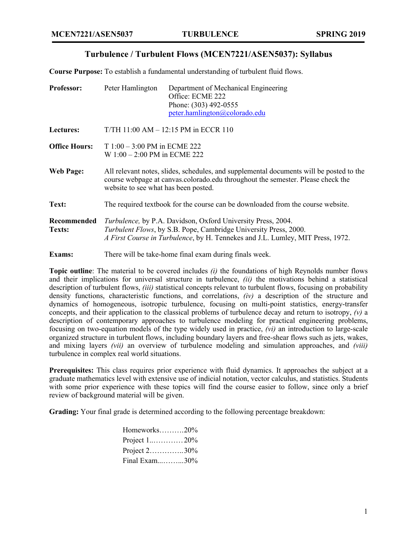## **Turbulence / Turbulent Flows (MCEN7221/ASEN5037): Syllabus**

**Course Purpose:** To establish a fundamental understanding of turbulent fluid flows.

| Professor:            | Peter Hamlington                                                                                                                                                                                                          | Department of Mechanical Engineering<br>Office: ECME 222<br>Phone: (303) 492-0555<br>peter.hamlington@colorado.edu |  |
|-----------------------|---------------------------------------------------------------------------------------------------------------------------------------------------------------------------------------------------------------------------|--------------------------------------------------------------------------------------------------------------------|--|
| Lectures:             | $T/TH$ 11:00 AM $-$ 12:15 PM in ECCR 110                                                                                                                                                                                  |                                                                                                                    |  |
| <b>Office Hours:</b>  | T $1:00 - 3:00$ PM in ECME 222<br>W 1:00 - 2:00 PM in ECME 222                                                                                                                                                            |                                                                                                                    |  |
| <b>Web Page:</b>      | All relevant notes, slides, schedules, and supplemental documents will be posted to the<br>course webpage at canvas.colorado.edu throughout the semester. Please check the<br>website to see what has been posted.        |                                                                                                                    |  |
| Text:                 | The required textbook for the course can be downloaded from the course website.                                                                                                                                           |                                                                                                                    |  |
| Recommended<br>Texts: | Turbulence, by P.A. Davidson, Oxford University Press, 2004.<br><i>Turbulent Flows, by S.B. Pope, Cambridge University Press, 2000.</i><br>A First Course in Turbulence, by H. Tennekes and J.L. Lumley, MIT Press, 1972. |                                                                                                                    |  |
| Exams:                | There will be take-home final exam during finals week.                                                                                                                                                                    |                                                                                                                    |  |

**Topic outline**: The material to be covered includes *(i)* the foundations of high Reynolds number flows and their implications for universal structure in turbulence, *(ii)* the motivations behind a statistical description of turbulent flows, *(iii)* statistical concepts relevant to turbulent flows, focusing on probability density functions, characteristic functions, and correlations, *(iv)* a description of the structure and dynamics of homogeneous, isotropic turbulence, focusing on multi-point statistics, energy-transfer concepts, and their application to the classical problems of turbulence decay and return to isotropy, *(v)* a description of contemporary approaches to turbulence modeling for practical engineering problems, focusing on two-equation models of the type widely used in practice, *(vi)* an introduction to large-scale organized structure in turbulent flows, including boundary layers and free-shear flows such as jets, wakes, and mixing layers *(vii)* an overview of turbulence modeling and simulation approaches, and *(viii)* turbulence in complex real world situations.

**Prerequisites:** This class requires prior experience with fluid dynamics. It approaches the subject at a graduate mathematics level with extensive use of indicial notation, vector calculus, and statistics. Students with some prior experience with these topics will find the course easier to follow, since only a brief review of background material will be given.

**Grading:** Your final grade is determined according to the following percentage breakdown:

| Homeworks $20\%$ |  |
|------------------|--|
| Project $1$ 20%  |  |
| Project $2$ 30%  |  |
| Final Exam30%    |  |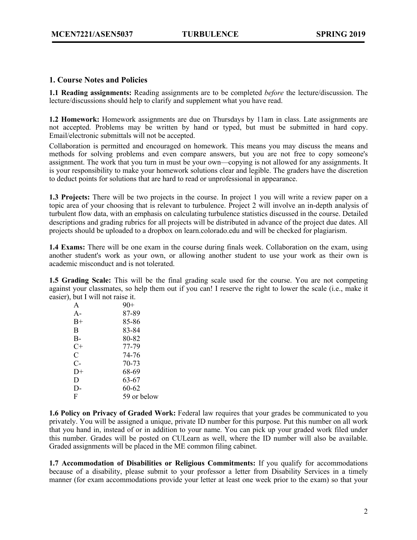## **1. Course Notes and Policies**

**1.1 Reading assignments:** Reading assignments are to be completed *before* the lecture/discussion. The lecture/discussions should help to clarify and supplement what you have read.

**1.2 Homework:** Homework assignments are due on Thursdays by 11am in class. Late assignments are not accepted. Problems may be written by hand or typed, but must be submitted in hard copy. Email/electronic submittals will not be accepted.

Collaboration is permitted and encouraged on homework. This means you may discuss the means and methods for solving problems and even compare answers, but you are not free to copy someone's assignment. The work that you turn in must be your own—copying is not allowed for any assignments. It is your responsibility to make your homework solutions clear and legible. The graders have the discretion to deduct points for solutions that are hard to read or unprofessional in appearance.

**1.3 Projects:** There will be two projects in the course. In project 1 you will write a review paper on a topic area of your choosing that is relevant to turbulence. Project 2 will involve an in-depth analysis of turbulent flow data, with an emphasis on calculating turbulence statistics discussed in the course. Detailed descriptions and grading rubrics for all projects will be distributed in advance of the project due dates. All projects should be uploaded to a dropbox on learn.colorado.edu and will be checked for plagiarism.

**1.4 Exams:** There will be one exam in the course during finals week. Collaboration on the exam, using another student's work as your own, or allowing another student to use your work as their own is academic misconduct and is not tolerated.

**1.5 Grading Scale:** This will be the final grading scale used for the course. You are not competing against your classmates, so help them out if you can! I reserve the right to lower the scale (i.e., make it easier), but I will not raise it.

| A     | $90+$       |
|-------|-------------|
| $A -$ | 87-89       |
| $B+$  | 85-86       |
| B     | 83-84       |
| B-    | 80-82       |
| C+    | 77-79       |
| C     | 74-76       |
| $C-$  | $70 - 73$   |
| $D+$  | 68-69       |
| D     | 63-67       |
| D-    | 60-62       |
| F     | 59 or below |
|       |             |

**1.6 Policy on Privacy of Graded Work:** Federal law requires that your grades be communicated to you privately. You will be assigned a unique, private ID number for this purpose. Put this number on all work that you hand in, instead of or in addition to your name. You can pick up your graded work filed under this number. Grades will be posted on CULearn as well, where the ID number will also be available. Graded assignments will be placed in the ME common filing cabinet.

**1.7 Accommodation of Disabilities or Religious Commitments:** If you qualify for accommodations because of a disability, please submit to your professor a letter from Disability Services in a timely manner (for exam accommodations provide your letter at least one week prior to the exam) so that your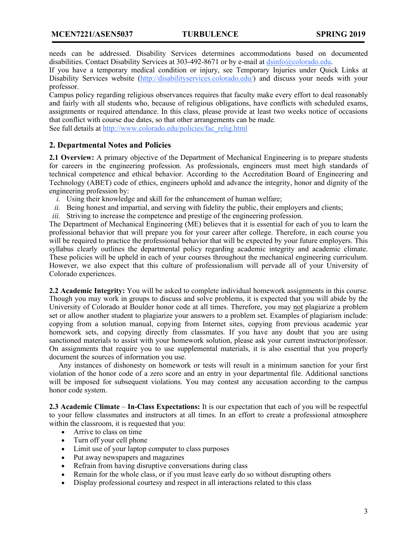needs can be addressed. Disability Services determines accommodations based on documented disabilities. Contact Disability Services at 303-492-8671 or by e-mail at dsinfo@colorado.edu.

If you have a temporary medical condition or injury, see Temporary Injuries under Quick Links at Disability Services website (http://disabilityservices.colorado.edu/) and discuss your needs with your professor.

Campus policy regarding religious observances requires that faculty make every effort to deal reasonably and fairly with all students who, because of religious obligations, have conflicts with scheduled exams, assignments or required attendance. In this class, please provide at least two weeks notice of occasions that conflict with course due dates, so that other arrangements can be made.

See full details at http://www.colorado.edu/policies/fac\_relig.html

## **2. Departmental Notes and Policies**

**2.1 Overview:** A primary objective of the Department of Mechanical Engineering is to prepare students for careers in the engineering profession. As professionals, engineers must meet high standards of technical competence and ethical behavior. According to the Accreditation Board of Engineering and Technology (ABET) code of ethics, engineers uphold and advance the integrity, honor and dignity of the engineering profession by:

- *i.* Using their knowledge and skill for the enhancement of human welfare;
- *ii.* Being honest and impartial, and serving with fidelity the public, their employers and clients;
- *iii.* Striving to increase the competence and prestige of the engineering profession.

The Department of Mechanical Engineering (ME) believes that it is essential for each of you to learn the professional behavior that will prepare you for your career after college. Therefore, in each course you will be required to practice the professional behavior that will be expected by your future employers. This syllabus clearly outlines the departmental policy regarding academic integrity and academic climate. These policies will be upheld in each of your courses throughout the mechanical engineering curriculum. However, we also expect that this culture of professionalism will pervade all of your University of Colorado experiences.

**2.2 Academic Integrity:** You will be asked to complete individual homework assignments in this course. Though you may work in groups to discuss and solve problems, it is expected that you will abide by the University of Colorado at Boulder honor code at all times. Therefore, you may not plagiarize a problem set or allow another student to plagiarize your answers to a problem set. Examples of plagiarism include: copying from a solution manual, copying from Internet sites, copying from previous academic year homework sets, and copying directly from classmates. If you have any doubt that you are using sanctioned materials to assist with your homework solution, please ask your current instructor/professor. On assignments that require you to use supplemental materials, it is also essential that you properly document the sources of information you use.

 Any instances of dishonesty on homework or tests will result in a minimum sanction for your first violation of the honor code of a zero score and an entry in your departmental file. Additional sanctions will be imposed for subsequent violations. You may contest any accusation according to the campus honor code system.

**2.3 Academic Climate** – **In-Class Expectations:** It is our expectation that each of you will be respectful to your fellow classmates and instructors at all times. In an effort to create a professional atmosphere within the classroom, it is requested that you:

- Arrive to class on time
- Turn off your cell phone
- Limit use of your laptop computer to class purposes
- Put away newspapers and magazines
- Refrain from having disruptive conversations during class
- Remain for the whole class, or if you must leave early do so without disrupting others
- Display professional courtesy and respect in all interactions related to this class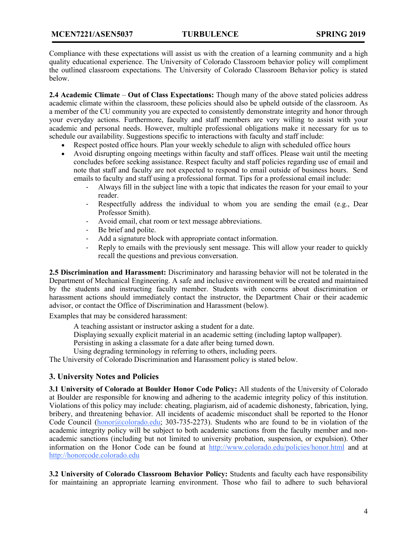Compliance with these expectations will assist us with the creation of a learning community and a high quality educational experience. The University of Colorado Classroom behavior policy will compliment the outlined classroom expectations. The University of Colorado Classroom Behavior policy is stated below.

**2.4 Academic Climate** – **Out of Class Expectations:** Though many of the above stated policies address academic climate within the classroom, these policies should also be upheld outside of the classroom. As a member of the CU community you are expected to consistently demonstrate integrity and honor through your everyday actions. Furthermore, faculty and staff members are very willing to assist with your academic and personal needs. However, multiple professional obligations make it necessary for us to schedule our availability. Suggestions specific to interactions with faculty and staff include:

- Respect posted office hours. Plan your weekly schedule to align with scheduled office hours
- Avoid disrupting ongoing meetings within faculty and staff offices. Please wait until the meeting concludes before seeking assistance. Respect faculty and staff policies regarding use of email and note that staff and faculty are not expected to respond to email outside of business hours. Send emails to faculty and staff using a professional format. Tips for a professional email include:
	- Always fill in the subject line with a topic that indicates the reason for your email to your reader.
	- Respectfully address the individual to whom you are sending the email (e.g., Dear Professor Smith).
	- Avoid email, chat room or text message abbreviations.
	- Be brief and polite.
	- Add a signature block with appropriate contact information.
	- Reply to emails with the previously sent message. This will allow your reader to quickly recall the questions and previous conversation.

**2.5 Discrimination and Harassment:** Discriminatory and harassing behavior will not be tolerated in the Department of Mechanical Engineering. A safe and inclusive environment will be created and maintained by the students and instructing faculty member. Students with concerns about discrimination or harassment actions should immediately contact the instructor, the Department Chair or their academic advisor, or contact the Office of Discrimination and Harassment (below).

Examples that may be considered harassment:

A teaching assistant or instructor asking a student for a date.

Displaying sexually explicit material in an academic setting (including laptop wallpaper).

Persisting in asking a classmate for a date after being turned down.

Using degrading terminology in referring to others, including peers.

The University of Colorado Discrimination and Harassment policy is stated below.

## **3. University Notes and Policies**

**3.1 University of Colorado at Boulder Honor Code Policy:** All students of the University of Colorado at Boulder are responsible for knowing and adhering to the academic integrity policy of this institution. Violations of this policy may include: cheating, plagiarism, aid of academic dishonesty, fabrication, lying, bribery, and threatening behavior. All incidents of academic misconduct shall be reported to the Honor Code Council (honor@colorado.edu; 303-735-2273). Students who are found to be in violation of the academic integrity policy will be subject to both academic sanctions from the faculty member and nonacademic sanctions (including but not limited to university probation, suspension, or expulsion). Other information on the Honor Code can be found at http://www.colorado.edu/policies/honor.html and at http://honorcode.colorado.edu

**3.2 University of Colorado Classroom Behavior Policy:** Students and faculty each have responsibility for maintaining an appropriate learning environment. Those who fail to adhere to such behavioral